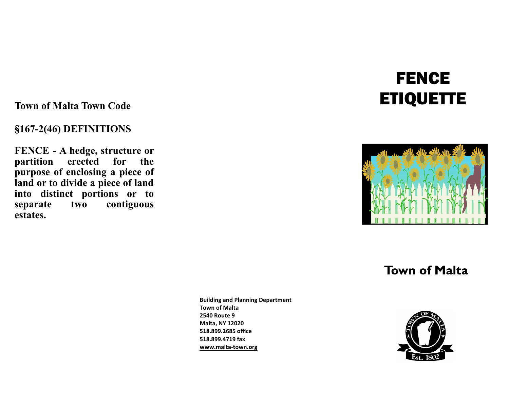**Town of Malta Town Code**

### §**167-2(46) DEFINITIONS**

**FENCE - A hedge, structure or partition erected for the purpose of enclosing a piece of land or to divide a piece of land into distinct portions or to separate two contiguous estates.**

# **FENCE ETIQUETTE**



## **Town of Malta**

**Building and Planning Department Town of Malta 2540 Route 9 Malta, NY 12020 518.899.2685 office 518.899.4719 fax www.malta-town.org**